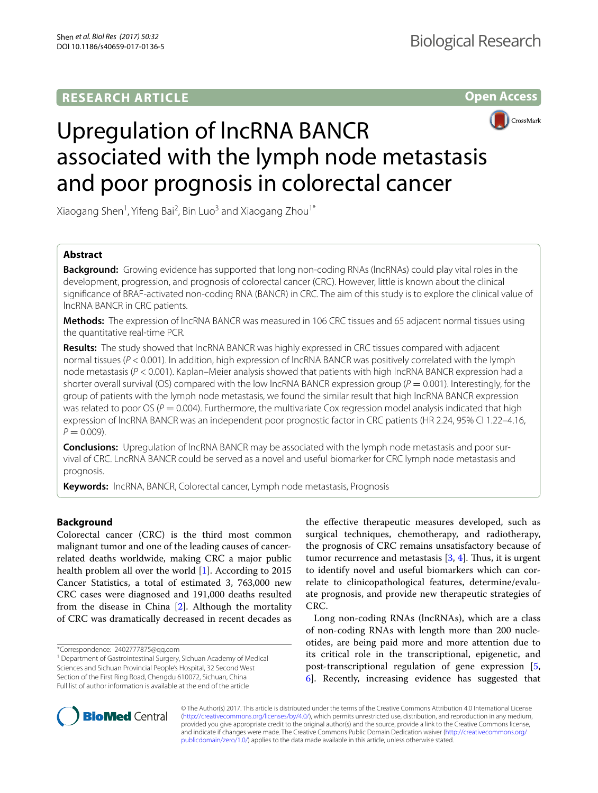## **RESEARCH ARTICLE**





# Upregulation of lncRNA BANCR associated with the lymph node metastasis and poor prognosis in colorectal cancer

Xiaogang Shen<sup>1</sup>, Yifeng Bai<sup>2</sup>, Bin Luo<sup>3</sup> and Xiaogang Zhou<sup>1\*</sup>

## **Abstract**

**Background:** Growing evidence has supported that long non-coding RNAs (lncRNAs) could play vital roles in the development, progression, and prognosis of colorectal cancer (CRC). However, little is known about the clinical signifcance of BRAF-activated non-coding RNA (BANCR) in CRC. The aim of this study is to explore the clinical value of lncRNA BANCR in CRC patients.

**Methods:** The expression of lncRNA BANCR was measured in 106 CRC tissues and 65 adjacent normal tissues using the quantitative real-time PCR.

**Results:** The study showed that lncRNA BANCR was highly expressed in CRC tissues compared with adjacent normal tissues (*P* < 0.001). In addition, high expression of lncRNA BANCR was positively correlated with the lymph node metastasis (*P* < 0.001). Kaplan–Meier analysis showed that patients with high lncRNA BANCR expression had a shorter overall survival (OS) compared with the low lncRNA BANCR expression group ( $P = 0.001$ ). Interestingly, for the group of patients with the lymph node metastasis, we found the similar result that high lncRNA BANCR expression was related to poor OS ( $P = 0.004$ ). Furthermore, the multivariate Cox regression model analysis indicated that high expression of lncRNA BANCR was an independent poor prognostic factor in CRC patients (HR 2.24, 95% CI 1.22–4.16,  $P = 0.009$ ).

**Conclusions:** Upregulation of lncRNA BANCR may be associated with the lymph node metastasis and poor survival of CRC. LncRNA BANCR could be served as a novel and useful biomarker for CRC lymph node metastasis and prognosis.

**Keywords:** lncRNA, BANCR, Colorectal cancer, Lymph node metastasis, Prognosis

## **Background**

Colorectal cancer (CRC) is the third most common malignant tumor and one of the leading causes of cancerrelated deaths worldwide, making CRC a major public health problem all over the world [\[1](#page-5-0)]. According to 2015 Cancer Statistics, a total of estimated 3, 763,000 new CRC cases were diagnosed and 191,000 deaths resulted from the disease in China [\[2](#page-5-1)]. Although the mortality of CRC was dramatically decreased in recent decades as

the efective therapeutic measures developed, such as surgical techniques, chemotherapy, and radiotherapy, the prognosis of CRC remains unsatisfactory because of tumor recurrence and metastasis  $[3, 4]$  $[3, 4]$  $[3, 4]$ . Thus, it is urgent to identify novel and useful biomarkers which can correlate to clinicopathological features, determine/evaluate prognosis, and provide new therapeutic strategies of CRC.

Long non-coding RNAs (lncRNAs), which are a class of non-coding RNAs with length more than 200 nucleotides, are being paid more and more attention due to its critical role in the transcriptional, epigenetic, and post-transcriptional regulation of gene expression [\[5](#page-5-4), [6\]](#page-5-5). Recently, increasing evidence has suggested that



© The Author(s) 2017. This article is distributed under the terms of the Creative Commons Attribution 4.0 International License [\(http://creativecommons.org/licenses/by/4.0/\)](http://creativecommons.org/licenses/by/4.0/), which permits unrestricted use, distribution, and reproduction in any medium, provided you give appropriate credit to the original author(s) and the source, provide a link to the Creative Commons license, and indicate if changes were made. The Creative Commons Public Domain Dedication waiver ([http://creativecommons.org/](http://creativecommons.org/publicdomain/zero/1.0/) [publicdomain/zero/1.0/](http://creativecommons.org/publicdomain/zero/1.0/)) applies to the data made available in this article, unless otherwise stated.

<sup>\*</sup>Correspondence: 2402777875@qq.com

<sup>&</sup>lt;sup>1</sup> Department of Gastrointestinal Surgery, Sichuan Academy of Medical Sciences and Sichuan Provincial People's Hospital, 32 Second West Section of the First Ring Road, Chengdu 610072, Sichuan, China Full list of author information is available at the end of the article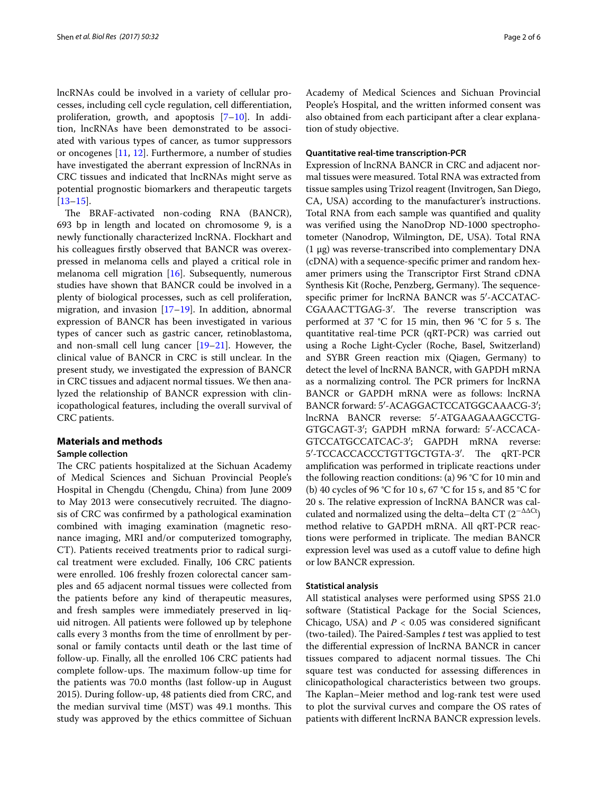lncRNAs could be involved in a variety of cellular processes, including cell cycle regulation, cell diferentiation, proliferation, growth, and apoptosis  $[7-10]$  $[7-10]$  $[7-10]$ . In addition, lncRNAs have been demonstrated to be associated with various types of cancer, as tumor suppressors or oncogenes [[11](#page-5-8), [12](#page-5-9)]. Furthermore, a number of studies have investigated the aberrant expression of lncRNAs in CRC tissues and indicated that lncRNAs might serve as potential prognostic biomarkers and therapeutic targets [[13–](#page-5-10)[15](#page-5-11)].

The BRAF-activated non-coding RNA (BANCR), 693 bp in length and located on chromosome 9, is a newly functionally characterized lncRNA. Flockhart and his colleagues frstly observed that BANCR was overexpressed in melanoma cells and played a critical role in melanoma cell migration [\[16](#page-5-12)]. Subsequently, numerous studies have shown that BANCR could be involved in a plenty of biological processes, such as cell proliferation, migration, and invasion  $[17–19]$  $[17–19]$  $[17–19]$ . In addition, abnormal expression of BANCR has been investigated in various types of cancer such as gastric cancer, retinoblastoma, and non-small cell lung cancer [[19](#page-5-14)[–21](#page-5-15)]. However, the clinical value of BANCR in CRC is still unclear. In the present study, we investigated the expression of BANCR in CRC tissues and adjacent normal tissues. We then analyzed the relationship of BANCR expression with clinicopathological features, including the overall survival of CRC patients.

#### **Materials and methods**

#### **Sample collection**

The CRC patients hospitalized at the Sichuan Academy of Medical Sciences and Sichuan Provincial People's Hospital in Chengdu (Chengdu, China) from June 2009 to May 2013 were consecutively recruited. The diagnosis of CRC was confrmed by a pathological examination combined with imaging examination (magnetic resonance imaging, MRI and/or computerized tomography, CT). Patients received treatments prior to radical surgical treatment were excluded. Finally, 106 CRC patients were enrolled. 106 freshly frozen colorectal cancer samples and 65 adjacent normal tissues were collected from the patients before any kind of therapeutic measures, and fresh samples were immediately preserved in liquid nitrogen. All patients were followed up by telephone calls every 3 months from the time of enrollment by personal or family contacts until death or the last time of follow-up. Finally, all the enrolled 106 CRC patients had complete follow-ups. The maximum follow-up time for the patients was 70.0 months (last follow-up in August 2015). During follow-up, 48 patients died from CRC, and the median survival time (MST) was 49.1 months. This study was approved by the ethics committee of Sichuan Academy of Medical Sciences and Sichuan Provincial People's Hospital, and the written informed consent was also obtained from each participant after a clear explanation of study objective.

#### **Quantitative real‑time transcription‑PCR**

Expression of lncRNA BANCR in CRC and adjacent normal tissues were measured. Total RNA was extracted from tissue samples using Trizol reagent (Invitrogen, San Diego, CA, USA) according to the manufacturer's instructions. Total RNA from each sample was quantifed and quality was verifed using the NanoDrop ND-1000 spectrophotometer (Nanodrop, Wilmington, DE, USA). Total RNA (1 μg) was reverse-transcribed into complementary DNA (cDNA) with a sequence-specifc primer and random hexamer primers using the Transcriptor First Strand cDNA Synthesis Kit (Roche, Penzberg, Germany). The sequencespecifc primer for lncRNA BANCR was 5′-ACCATAC-CGAAACTTGAG-3'. The reverse transcription was performed at 37 °C for 15 min, then 96 °C for 5 s. The quantitative real-time PCR (qRT-PCR) was carried out using a Roche Light-Cycler (Roche, Basel, Switzerland) and SYBR Green reaction mix (Qiagen, Germany) to detect the level of lncRNA BANCR, with GAPDH mRNA as a normalizing control. The PCR primers for lncRNA BANCR or GAPDH mRNA were as follows: lncRNA BANCR forward: 5′-ACAGGACTCCATGGCAAACG-3′; lncRNA BANCR reverse: 5′-ATGAAGAAAGCCTG-GTGCAGT-3′; GAPDH mRNA forward: 5′-ACCACA-GTCCATGCCATCAC-3′; GAPDH mRNA reverse: 5'-TCCACCACCCTGTTGCTGTA-3'. The qRT-PCR amplifcation was performed in triplicate reactions under the following reaction conditions: (a) 96 °C for 10 min and (b) 40 cycles of 96 °C for 10 s, 67 °C for 15 s, and 85 °C for 20 s. The relative expression of lncRNA BANCR was calculated and normalized using the delta–delta CT  $(2^{-\Delta\Delta Ct})$ method relative to GAPDH mRNA. All qRT-PCR reactions were performed in triplicate. The median BANCR expression level was used as a cutoff value to define high or low BANCR expression.

#### **Statistical analysis**

All statistical analyses were performed using SPSS 21.0 software (Statistical Package for the Social Sciences, Chicago, USA) and  $P < 0.05$  was considered significant (two-tailed). The Paired-Samples *t* test was applied to test the diferential expression of lncRNA BANCR in cancer tissues compared to adjacent normal tissues. The Chi square test was conducted for assessing diferences in clinicopathological characteristics between two groups. The Kaplan–Meier method and log-rank test were used to plot the survival curves and compare the OS rates of patients with diferent lncRNA BANCR expression levels.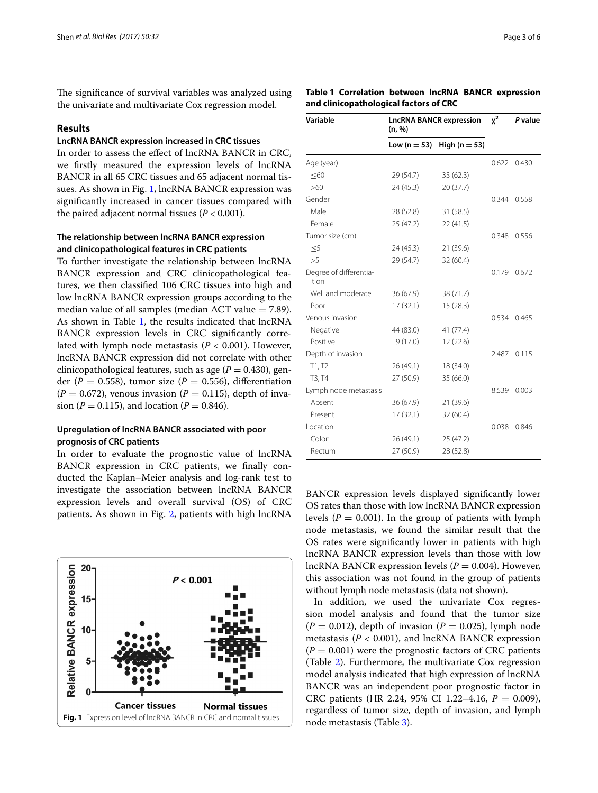The significance of survival variables was analyzed using the univariate and multivariate Cox regression model.

#### **Results**

## **LncRNA BANCR expression increased in CRC tissues**

In order to assess the efect of lncRNA BANCR in CRC, we frstly measured the expression levels of lncRNA BANCR in all 65 CRC tissues and 65 adjacent normal tissues. As shown in Fig. [1,](#page-2-0) lncRNA BANCR expression was signifcantly increased in cancer tissues compared with the paired adjacent normal tissues  $(P < 0.001)$ .

## **The relationship between lncRNA BANCR expression and clinicopathological features in CRC patients**

To further investigate the relationship between lncRNA BANCR expression and CRC clinicopathological features, we then classifed 106 CRC tissues into high and low lncRNA BANCR expression groups according to the median value of all samples (median  $\Delta CT$  value = 7.89). As shown in Table [1,](#page-2-1) the results indicated that lncRNA BANCR expression levels in CRC significantly correlated with lymph node metastasis  $(P < 0.001)$ . However, lncRNA BANCR expression did not correlate with other clinicopathological features, such as age  $(P = 0.430)$ , gender ( $P = 0.558$ ), tumor size ( $P = 0.556$ ), differentiation  $(P = 0.672)$ , venous invasion  $(P = 0.115)$ , depth of invasion (*P* = 0.115), and location (*P* = 0.846).

### **Upregulation of lncRNA BANCR associated with poor prognosis of CRC patients**

In order to evaluate the prognostic value of lncRNA BANCR expression in CRC patients, we fnally conducted the Kaplan–Meier analysis and log-rank test to investigate the association between lncRNA BANCR expression levels and overall survival (OS) of CRC patients. As shown in Fig. [2](#page-3-0), patients with high lncRNA

<span id="page-2-0"></span>

<span id="page-2-1"></span>**Table 1 Correlation between lncRNA BANCR expression and clinicopathological factors of CRC**

| Variable                       | <b>LncRNA BANCR expression</b><br>(n, %) | $x^2$           | P value |       |
|--------------------------------|------------------------------------------|-----------------|---------|-------|
|                                | Low $(n = 53)$                           | High $(n = 53)$ |         |       |
| Age (year)                     |                                          |                 | 0.622   | 0.430 |
| $\leq 60$                      | 29(54.7)                                 | 33 (62.3)       |         |       |
| >60                            | 24(45.3)                                 | 20(37.7)        |         |       |
| Gender                         |                                          |                 | 0.344   | 0.558 |
| Male                           | 28 (52.8)                                | 31 (58.5)       |         |       |
| Female                         | 25(47.2)                                 | 22(41.5)        |         |       |
| Tumor size (cm)                |                                          |                 | 0.348   | 0.556 |
| $\leq$ 5                       | 24(45.3)                                 | 21 (39.6)       |         |       |
| >5                             | 29 (54.7)                                | 32(60.4)        |         |       |
| Degree of differentia-<br>tion |                                          |                 | 0.179   | 0.672 |
| Well and moderate              | 36(67.9)                                 | 38 (71.7)       |         |       |
| Poor                           | 17(32.1)                                 | 15 (28.3)       |         |       |
| Venous invasion                |                                          |                 | 0.534   | 0.465 |
| Negative                       | 44 (83.0)                                | 41 (77.4)       |         |       |
| Positive                       | 9(17.0)                                  | 12 (22.6)       |         |       |
| Depth of invasion              |                                          |                 | 2.487   | 0.115 |
| T1, T2                         | 26 (49.1)                                | 18 (34.0)       |         |       |
| T3, T4                         | 27(50.9)                                 | 35 (66.0)       |         |       |
| Lymph node metastasis          |                                          |                 | 8.539   | 0.003 |
| Absent                         | 36(67.9)                                 | 21 (39.6)       |         |       |
| Present                        | 17(32.1)                                 | 32 (60.4)       |         |       |
| Location                       |                                          |                 | 0.038   | 0.846 |
| Colon                          | 26 (49.1)                                | 25 (47.2)       |         |       |
| Rectum                         | 27 (50.9)                                | 28 (52.8)       |         |       |

BANCR expression levels displayed signifcantly lower OS rates than those with low lncRNA BANCR expression levels  $(P = 0.001)$ . In the group of patients with lymph node metastasis, we found the similar result that the OS rates were signifcantly lower in patients with high lncRNA BANCR expression levels than those with low lncRNA BANCR expression levels  $(P = 0.004)$ . However, this association was not found in the group of patients without lymph node metastasis (data not shown).

In addition, we used the univariate Cox regression model analysis and found that the tumor size  $(P = 0.012)$ , depth of invasion  $(P = 0.025)$ , lymph node metastasis ( $P < 0.001$ ), and lncRNA BANCR expression  $(P = 0.001)$  were the prognostic factors of CRC patients (Table [2\)](#page-4-0). Furthermore, the multivariate Cox regression model analysis indicated that high expression of lncRNA BANCR was an independent poor prognostic factor in CRC patients (HR 2.24, 95% CI 1.22–4.16, *P* = 0.009), regardless of tumor size, depth of invasion, and lymph node metastasis (Table 3).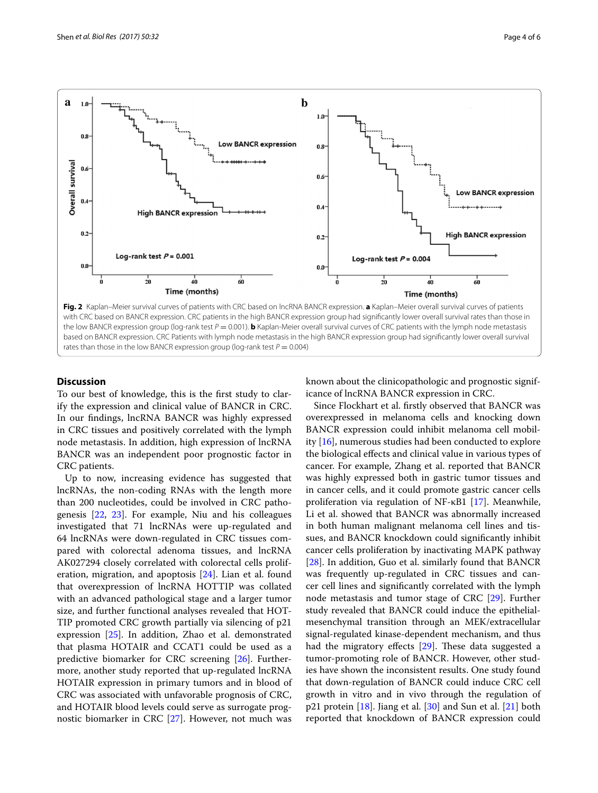

#### **Discussion**

To our best of knowledge, this is the frst study to clarify the expression and clinical value of BANCR in CRC. In our fndings, lncRNA BANCR was highly expressed in CRC tissues and positively correlated with the lymph node metastasis. In addition, high expression of lncRNA BANCR was an independent poor prognostic factor in CRC patients.

<span id="page-3-0"></span>rates than those in the low BANCR expression group (log-rank test  $P = 0.004$ )

Up to now, increasing evidence has suggested that lncRNAs, the non-coding RNAs with the length more than 200 nucleotides, could be involved in CRC pathogenesis [\[22](#page-5-16), [23](#page-5-17)]. For example, Niu and his colleagues investigated that 71 lncRNAs were up-regulated and 64 lncRNAs were down-regulated in CRC tissues compared with colorectal adenoma tissues, and lncRNA AK027294 closely correlated with colorectal cells proliferation, migration, and apoptosis [[24\]](#page-5-18). Lian et al. found that overexpression of lncRNA HOTTIP was collated with an advanced pathological stage and a larger tumor size, and further functional analyses revealed that HOT-TIP promoted CRC growth partially via silencing of p21 expression [[25\]](#page-5-19). In addition, Zhao et al. demonstrated that plasma HOTAIR and CCAT1 could be used as a predictive biomarker for CRC screening [[26](#page-5-20)]. Furthermore, another study reported that up-regulated lncRNA HOTAIR expression in primary tumors and in blood of CRC was associated with unfavorable prognosis of CRC, and HOTAIR blood levels could serve as surrogate prognostic biomarker in CRC [[27](#page-5-21)]. However, not much was known about the clinicopathologic and prognostic significance of lncRNA BANCR expression in CRC.

Since Flockhart et al. frstly observed that BANCR was overexpressed in melanoma cells and knocking down BANCR expression could inhibit melanoma cell mobility [[16](#page-5-12)], numerous studies had been conducted to explore the biological efects and clinical value in various types of cancer. For example, Zhang et al. reported that BANCR was highly expressed both in gastric tumor tissues and in cancer cells, and it could promote gastric cancer cells proliferation via regulation of NF-κB1 [[17\]](#page-5-13). Meanwhile, Li et al. showed that BANCR was abnormally increased in both human malignant melanoma cell lines and tissues, and BANCR knockdown could signifcantly inhibit cancer cells proliferation by inactivating MAPK pathway [[28\]](#page-5-22). In addition, Guo et al. similarly found that BANCR was frequently up-regulated in CRC tissues and cancer cell lines and signifcantly correlated with the lymph node metastasis and tumor stage of CRC [\[29](#page-5-23)]. Further study revealed that BANCR could induce the epithelialmesenchymal transition through an MEK/extracellular signal-regulated kinase-dependent mechanism, and thus had the migratory effects  $[29]$  $[29]$ . These data suggested a tumor-promoting role of BANCR. However, other studies have shown the inconsistent results. One study found that down-regulation of BANCR could induce CRC cell growth in vitro and in vivo through the regulation of p21 protein [\[18](#page-5-24)]. Jiang et al. [\[30](#page-5-25)] and Sun et al. [[21\]](#page-5-15) both reported that knockdown of BANCR expression could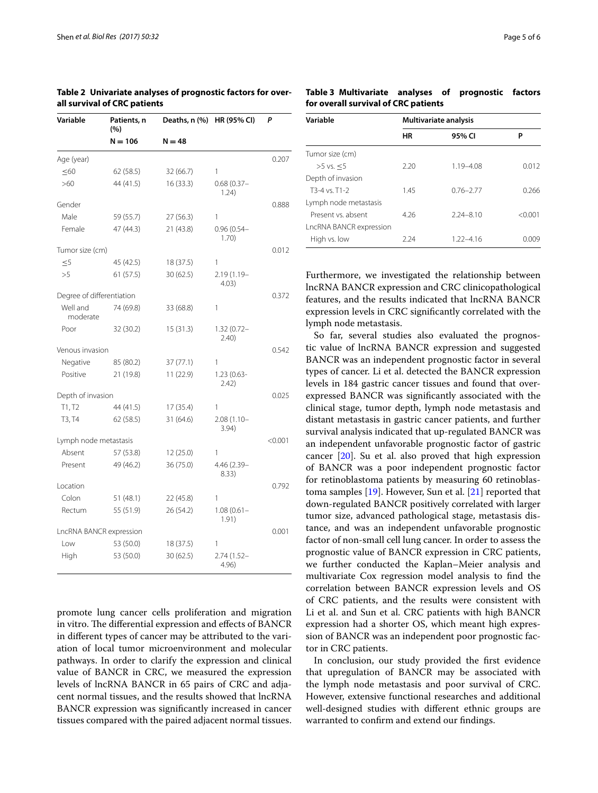| Variable                  | Patients, n<br>(%)      | Deaths, n (%) | HR (95% CI)            | P       |
|---------------------------|-------------------------|---------------|------------------------|---------|
|                           | $N = 106$               | $N = 48$      |                        |         |
| Age (year)                |                         |               |                        | 0.207   |
| $\leq 60$                 | 62(58.5)                | 32 (66.7)     | 1                      |         |
| >60                       | 44 (41.5)               | 16(33.3)      | $0.68(0.37 -$<br>1.24) |         |
| Gender                    |                         |               |                        | 0.888   |
| Male                      | 59 (55.7)               | 27(56.3)      | 1                      |         |
| Female                    | 47 (44.3)               | 21 (43.8)     | $0.96(0.54 -$<br>1.70) |         |
| Tumor size (cm)           |                         |               |                        | 0.012   |
| $\leq 5$                  | 45 (42.5)               | 18 (37.5)     | 1                      |         |
| >5                        | 61(57.5)                | 30 (62.5)     | 2.19 (1.19-<br>4.03)   |         |
| Degree of differentiation |                         |               |                        | 0.372   |
| Well and<br>moderate      | 74 (69.8)               | 33 (68.8)     | 1                      |         |
| Poor                      | 32 (30.2)               | 15(31.3)      | $1.32(0.72 -$<br>2.40  |         |
| Venous invasion           |                         |               |                        | 0.542   |
| Negative                  | 85 (80.2)               | 37 (77.1)     | 1                      |         |
| Positive                  | 21 (19.8)               | 11 (22.9)     | $1.23(0.63 -$<br>2.42) |         |
| Depth of invasion         |                         |               |                        | 0.025   |
| T1, T2                    | 44 (41.5)               | 17(35.4)      | 1                      |         |
| T3, T4                    | 62(58.5)                | 31 (64.6)     | 2.08 (1.10-<br>3.94)   |         |
| Lymph node metastasis     |                         |               |                        | < 0.001 |
| Absent                    | 57 (53.8)               | 12 (25.0)     | 1                      |         |
| Present                   | 49 (46.2)               | 36 (75.0)     | 4.46 (2.39-<br>8.33)   |         |
| Location                  |                         |               |                        | 0.792   |
| Colon                     | 51 (48.1)               | 22(45.8)      | 1                      |         |
| Rectum                    | 55 (51.9)               | 26 (54.2)     | $1.08(0.61 -$<br>1.91) |         |
|                           | LncRNA BANCR expression |               |                        | 0.001   |
| Low                       | 53 (50.0)               | 18 (37.5)     | 1                      |         |
| High                      | 53 (50.0)               | 30 (62.5)     | $2.74(1.52 -$<br>4.96) |         |

<span id="page-4-0"></span>**Table 2 Univariate analyses of prognostic factors for overall survival of CRC patients**

promote lung cancer cells proliferation and migration in vitro. The differential expression and effects of BANCR in diferent types of cancer may be attributed to the variation of local tumor microenvironment and molecular pathways. In order to clarify the expression and clinical value of BANCR in CRC, we measured the expression levels of lncRNA BANCR in 65 pairs of CRC and adjacent normal tissues, and the results showed that lncRNA BANCR expression was signifcantly increased in cancer tissues compared with the paired adjacent normal tissues.

<span id="page-4-1"></span>**Table 3 Multivariate analyses of prognostic factors for overall survival of CRC patients**

| Variable                | Multivariate analysis |               |         |  |
|-------------------------|-----------------------|---------------|---------|--|
|                         | HR                    | 95% CI        | P       |  |
| Tumor size (cm)         |                       |               |         |  |
| $>5$ vs. $<5$           | 2.20                  | $1.19 - 4.08$ | 0.012   |  |
| Depth of invasion       |                       |               |         |  |
| $T3-4$ vs. $T1-2$       | 1.45                  | $0.76 - 2.77$ | 0.266   |  |
| Lymph node metastasis   |                       |               |         |  |
| Present vs. absent      | 4.26                  | $2.24 - 8.10$ | < 0.001 |  |
| LncRNA BANCR expression |                       |               |         |  |
| High vs. low            | 2.24                  | $1.22 - 4.16$ | 0.009   |  |

Furthermore, we investigated the relationship between lncRNA BANCR expression and CRC clinicopathological features, and the results indicated that lncRNA BANCR expression levels in CRC signifcantly correlated with the lymph node metastasis.

So far, several studies also evaluated the prognostic value of lncRNA BANCR expression and suggested BANCR was an independent prognostic factor in several types of cancer. Li et al. detected the BANCR expression levels in 184 gastric cancer tissues and found that overexpressed BANCR was signifcantly associated with the clinical stage, tumor depth, lymph node metastasis and distant metastasis in gastric cancer patients, and further survival analysis indicated that up-regulated BANCR was an independent unfavorable prognostic factor of gastric cancer  $[20]$  $[20]$ . Su et al. also proved that high expression of BANCR was a poor independent prognostic factor for retinoblastoma patients by measuring 60 retinoblastoma samples [\[19](#page-5-14)]. However, Sun et al. [[21\]](#page-5-15) reported that down-regulated BANCR positively correlated with larger tumor size, advanced pathological stage, metastasis distance, and was an independent unfavorable prognostic factor of non-small cell lung cancer. In order to assess the prognostic value of BANCR expression in CRC patients, we further conducted the Kaplan–Meier analysis and multivariate Cox regression model analysis to fnd the correlation between BANCR expression levels and OS of CRC patients, and the results were consistent with Li et al. and Sun et al. CRC patients with high BANCR expression had a shorter OS, which meant high expression of BANCR was an independent poor prognostic factor in CRC patients.

In conclusion, our study provided the frst evidence that upregulation of BANCR may be associated with the lymph node metastasis and poor survival of CRC. However, extensive functional researches and additional well-designed studies with diferent ethnic groups are warranted to confrm and extend our fndings.